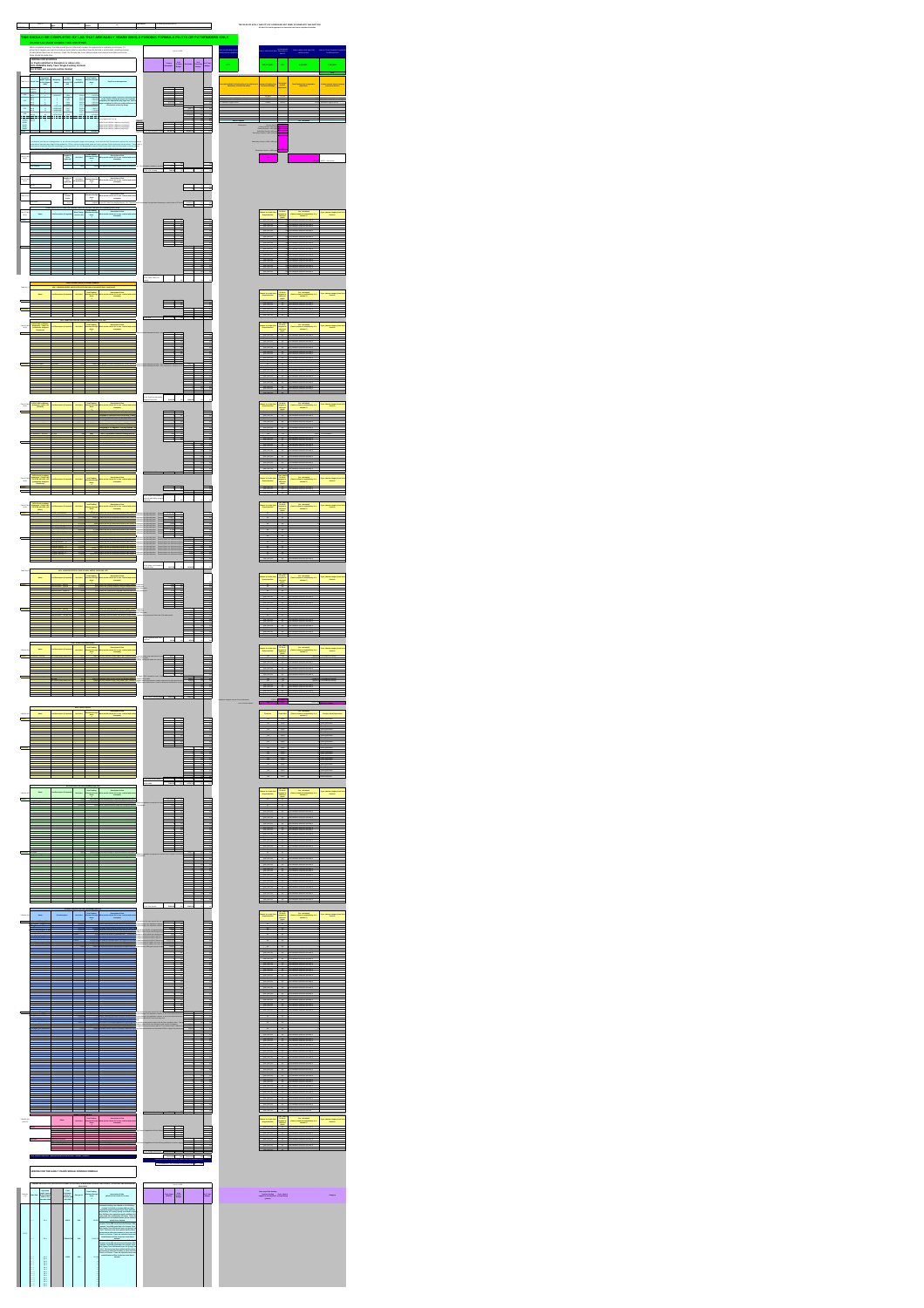